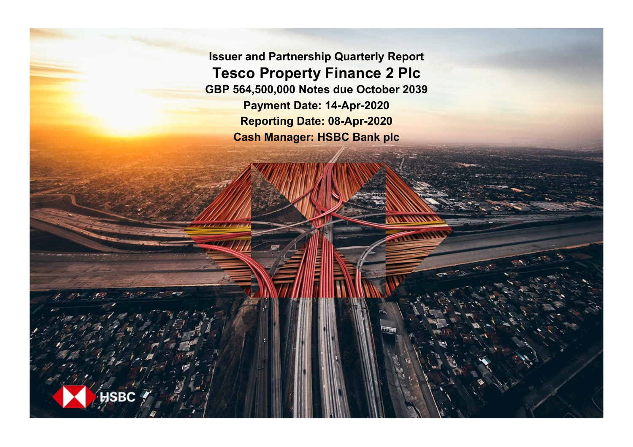**Issuer and Partnership Quarterly Report Tesco Property Finance 2 Plc GBP 564,500,000 Notes due October 2039 Payment Date: 14-Apr-2020 Reporting Date: 08-Apr-2020 Cash Manager: HSBC Bank plc**

**SRC**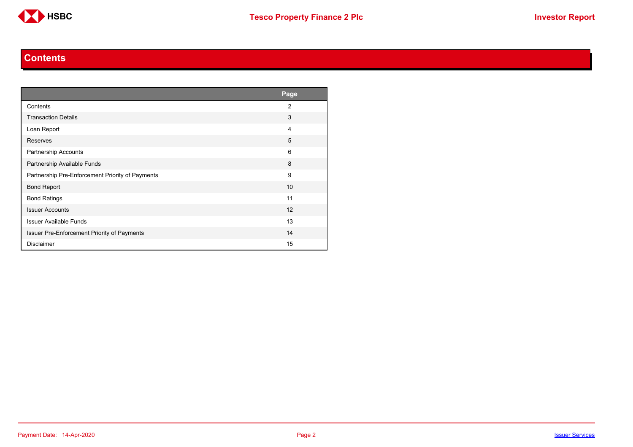

#### **Contents**

<span id="page-1-0"></span>

|                                                  | Page           |
|--------------------------------------------------|----------------|
| Contents                                         | $\overline{2}$ |
| <b>Transaction Details</b>                       | 3              |
| Loan Report                                      | 4              |
| Reserves                                         | 5              |
| Partnership Accounts                             | 6              |
| Partnership Available Funds                      | 8              |
| Partnership Pre-Enforcement Priority of Payments | 9              |
| <b>Bond Report</b>                               | 10             |
| <b>Bond Ratings</b>                              | 11             |
| <b>Issuer Accounts</b>                           | 12             |
| <b>Issuer Available Funds</b>                    | 13             |
| Issuer Pre-Enforcement Priority of Payments      | 14             |
| <b>Disclaimer</b>                                | 15             |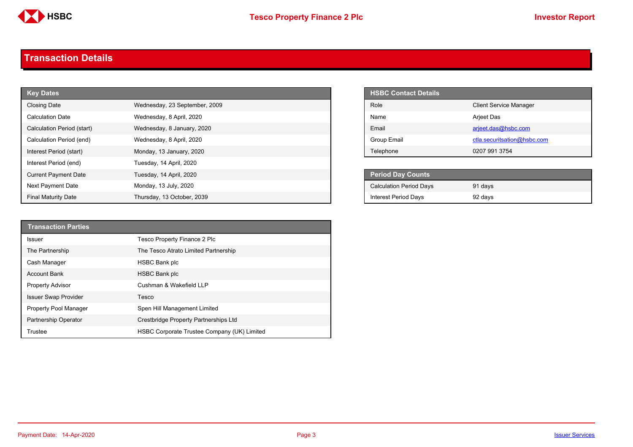

#### <span id="page-2-0"></span>**Transaction Details**

| <b>Key Dates</b>            |                               | <b>HSBC Contact Details</b>    |                               |
|-----------------------------|-------------------------------|--------------------------------|-------------------------------|
| <b>Closing Date</b>         | Wednesday, 23 September, 2009 | Role                           | <b>Client Service Manager</b> |
| <b>Calculation Date</b>     | Wednesday, 8 April, 2020      | Name                           | Arjeet Das                    |
| Calculation Period (start)  | Wednesday, 8 January, 2020    | Email                          | arjeet.das@hsbc.com           |
| Calculation Period (end)    | Wednesday, 8 April, 2020      | <b>Group Email</b>             | ctla.securitsation@hsbc.com   |
| Interest Period (start)     | Monday, 13 January, 2020      | Telephone                      | 0207 991 3754                 |
| Interest Period (end)       | Tuesday, 14 April, 2020       |                                |                               |
| <b>Current Payment Date</b> | Tuesday, 14 April, 2020       | <b>Period Day Counts</b>       |                               |
| Next Payment Date           | Monday, 13 July, 2020         | <b>Calculation Period Days</b> | 91 days                       |
| <b>Final Maturity Date</b>  | Thursday, 13 October, 2039    | <b>Interest Period Days</b>    | 92 days                       |

| <b>HSBC Contact Details</b> |                               |
|-----------------------------|-------------------------------|
| Role                        | <b>Client Service Manager</b> |
| Name                        | Arjeet Das                    |
| Email                       | arjeet.das@hsbc.com           |
| Group Email                 | ctla.securitsation@hsbc.com   |
| Telephone                   | 0207 991 3754                 |

| <b>Period Day Counts</b>       |         |  |
|--------------------------------|---------|--|
| <b>Calculation Period Days</b> | 91 days |  |
| <b>Interest Period Days</b>    | 92 days |  |

| <b>Transaction Parties</b>  |                                             |
|-----------------------------|---------------------------------------------|
| Issuer                      | Tesco Property Finance 2 Plc                |
| The Partnership             | The Tesco Atrato Limited Partnership        |
| Cash Manager                | <b>HSBC Bank plc</b>                        |
| <b>Account Bank</b>         | <b>HSBC Bank plc</b>                        |
| <b>Property Advisor</b>     | Cushman & Wakefield LLP                     |
| <b>Issuer Swap Provider</b> | Tesco                                       |
| Property Pool Manager       | Spen Hill Management Limited                |
| <b>Partnership Operator</b> | Crestbridge Property Partnerships Ltd       |
| Trustee                     | HSBC Corporate Trustee Company (UK) Limited |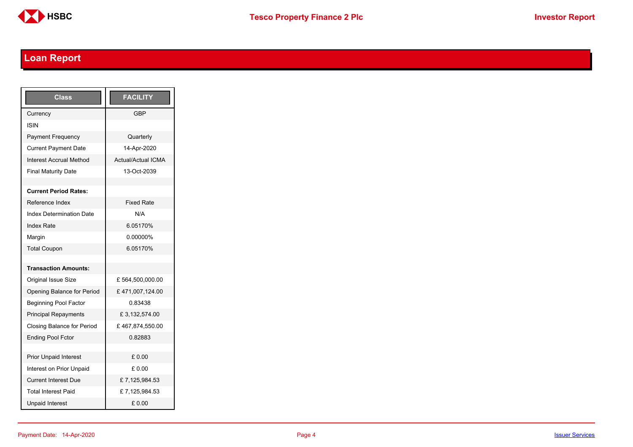

# <span id="page-3-0"></span>**Loan Report**

| <b>Class</b>                      | <b>FACILITY</b>           |
|-----------------------------------|---------------------------|
| Currency                          | GBP                       |
| ISIN                              |                           |
| <b>Payment Frequency</b>          | Quarterly                 |
| <b>Current Payment Date</b>       | 14-Apr-2020               |
| <b>Interest Accrual Method</b>    | <b>Actual/Actual ICMA</b> |
| <b>Final Maturity Date</b>        | 13-Oct-2039               |
|                                   |                           |
| <b>Current Period Rates:</b>      |                           |
| Reference Index                   | <b>Fixed Rate</b>         |
| <b>Index Determination Date</b>   | N/A                       |
| <b>Index Rate</b>                 | 6.05170%                  |
| Margin                            | 0.00000%                  |
| <b>Total Coupon</b>               | 6.05170%                  |
|                                   |                           |
| <b>Transaction Amounts:</b>       |                           |
| <b>Original Issue Size</b>        | £564,500,000.00           |
| Opening Balance for Period        | £471,007,124.00           |
| <b>Beginning Pool Factor</b>      | 0.83438                   |
| <b>Principal Repayments</b>       | £3,132,574.00             |
| <b>Closing Balance for Period</b> | £467,874,550.00           |
| <b>Ending Pool Fctor</b>          | 0.82883                   |
|                                   |                           |
| <b>Prior Unpaid Interest</b>      | £0.00                     |
| Interest on Prior Unpaid          | £ 0.00                    |
| <b>Current Interest Due</b>       | £7,125,984.53             |
| <b>Total Interest Paid</b>        | £7,125,984.53             |
| <b>Unpaid Interest</b>            | £0.00                     |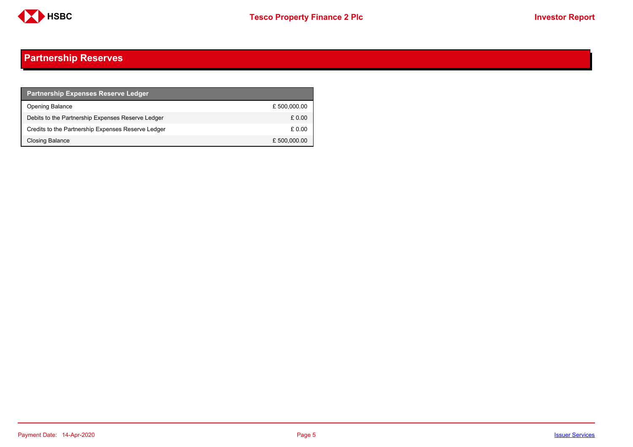

## <span id="page-4-0"></span>**Partnership Reserves**

| <b>Partnership Expenses Reserve Ledger</b>         |              |
|----------------------------------------------------|--------------|
| <b>Opening Balance</b>                             | £500,000.00  |
| Debits to the Partnership Expenses Reserve Ledger  | £ 0.00       |
| Credits to the Partnership Expenses Reserve Ledger | £ 0.00       |
| Closing Balance                                    | £ 500,000.00 |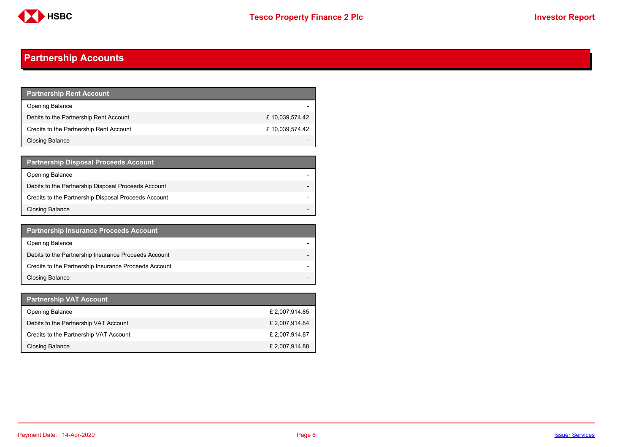

## <span id="page-5-0"></span>**Partnership Accounts**

| Partnership Rent Account <b>P</b>       |                |
|-----------------------------------------|----------------|
| <b>Opening Balance</b>                  |                |
| Debits to the Partnership Rent Account  | £10,039,574.42 |
| Credits to the Partnership Rent Account | £10,039,574.42 |
| Closing Balance                         |                |

| <b>Partnership Disposal Proceeds Account</b>         |  |
|------------------------------------------------------|--|
| <b>Opening Balance</b>                               |  |
| Debits to the Partnership Disposal Proceeds Account  |  |
| Credits to the Partnership Disposal Proceeds Account |  |
| <b>Closing Balance</b>                               |  |

| <b>Partnership Insurance Proceeds Account</b>         |  |
|-------------------------------------------------------|--|
| <b>Opening Balance</b>                                |  |
| Debits to the Partnership Insurance Proceeds Account  |  |
| Credits to the Partnership Insurance Proceeds Account |  |
| <b>Closing Balance</b>                                |  |

| Partnership VAT Account                |                |
|----------------------------------------|----------------|
| <b>Opening Balance</b>                 | £ 2,007,914.85 |
| Debits to the Partnership VAT Account  | £ 2,007,914.84 |
| Credits to the Partnership VAT Account | £ 2,007,914.87 |
| Closing Balance                        | £ 2,007,914.88 |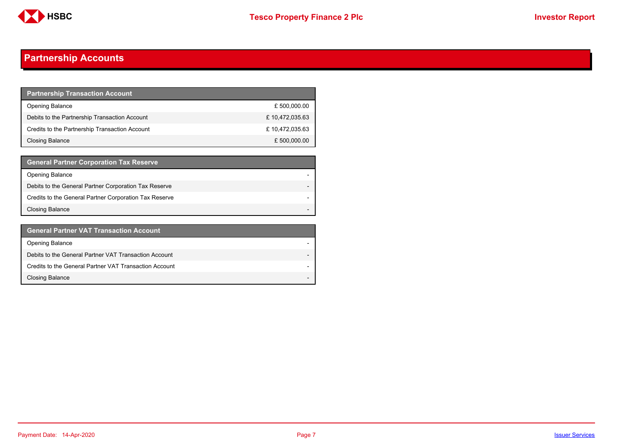

## **Partnership Accounts**

| <b>Partnership Transaction Account</b>         |                |
|------------------------------------------------|----------------|
| <b>Opening Balance</b>                         | £ 500,000.00   |
| Debits to the Partnership Transaction Account  | £10,472,035.63 |
| Credits to the Partnership Transaction Account | £10,472,035.63 |
| Closing Balance                                | £ 500,000.00   |

| <b>General Partner Corporation Tax Reserve</b>         |  |
|--------------------------------------------------------|--|
| <b>Opening Balance</b>                                 |  |
| Debits to the General Partner Corporation Tax Reserve  |  |
| Credits to the General Partner Corporation Tax Reserve |  |
| <b>Closing Balance</b>                                 |  |

| <b>General Partner VAT Transaction Account</b>         |                          |
|--------------------------------------------------------|--------------------------|
| <b>Opening Balance</b>                                 |                          |
| Debits to the General Partner VAT Transaction Account  |                          |
| Credits to the General Partner VAT Transaction Account |                          |
| <b>Closing Balance</b>                                 | $\overline{\phantom{0}}$ |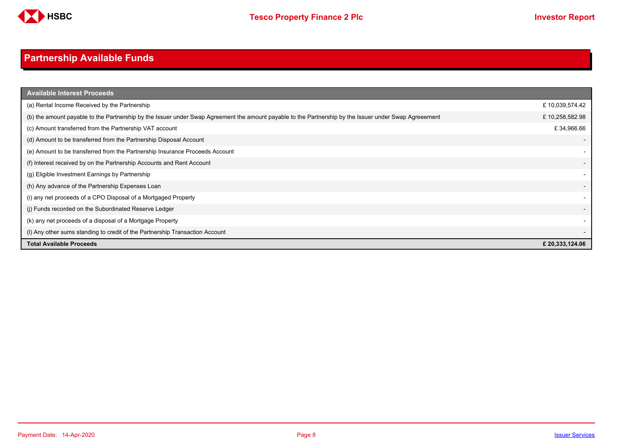

# <span id="page-7-0"></span>**Partnership Available Funds**

| <b>Available Interest Proceeds</b>                                                                                                                     |                 |
|--------------------------------------------------------------------------------------------------------------------------------------------------------|-----------------|
| (a) Rental Income Received by the Partnership                                                                                                          | £10,039,574.42  |
| (b) the amount payable to the Partnership by the Issuer under Swap Agreement the amount payable to the Partnership by the Issuer under Swap Agreeement | £10,258,582.98  |
| (c) Amount transferred from the Partnership VAT account                                                                                                | £34,966.66      |
| (d) Amount to be transferred from the Partnership Disposal Account                                                                                     |                 |
| (e) Amount to be transferred from the Partnership Insurance Proceeds Account                                                                           |                 |
| (f) Interest received by on the Partnership Accounts and Rent Account                                                                                  |                 |
| (g) Eligible Investment Earnings by Partnership                                                                                                        |                 |
| (h) Any advance of the Partnership Expenses Loan                                                                                                       |                 |
| (i) any net proceeds of a CPO Disposal of a Mortgaged Property                                                                                         |                 |
| (i) Funds recorded on the Subordinated Reserve Ledger                                                                                                  |                 |
| (k) any net proceeds of a disposal of a Mortgage Property                                                                                              |                 |
| (I) Any other sums standing to credit of the Partnership Transaction Account                                                                           |                 |
| <b>Total Available Proceeds</b>                                                                                                                        | £ 20,333,124.06 |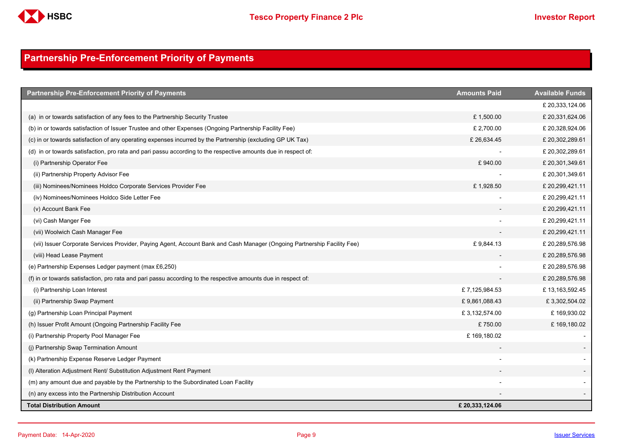

## <span id="page-8-0"></span>**Partnership Pre-Enforcement Priority of Payments**

| <b>Partnership Pre-Enforcement Priority of Payments</b>                                                                  | <b>Amounts Paid</b> | <b>Available Funds</b> |
|--------------------------------------------------------------------------------------------------------------------------|---------------------|------------------------|
|                                                                                                                          |                     | £ 20,333,124.06        |
| (a) in or towards satisfaction of any fees to the Partnership Security Trustee                                           | £1,500.00           | £ 20,331,624.06        |
| (b) in or towards satisfaction of Issuer Trustee and other Expenses (Ongoing Partnership Facility Fee)                   | £ 2,700.00          | £ 20,328,924.06        |
| (c) in or towards satisfaction of any operating expenses incurred by the Partnership (excluding GP UK Tax)               | £26,634.45          | £ 20,302,289.61        |
| (d) in or towards satisfaction, pro rata and pari passu according to the respective amounts due in respect of:           |                     | £ 20,302,289.61        |
| (i) Partnership Operator Fee                                                                                             | £940.00             | £ 20,301,349.61        |
| (ii) Partnership Property Advisor Fee                                                                                    |                     | £ 20,301,349.61        |
| (iii) Nominees/Nominees Holdco Corporate Services Provider Fee                                                           | £1,928.50           | £20,299,421.11         |
| (iv) Nominees/Nominees Holdco Side Letter Fee                                                                            |                     | £20,299,421.11         |
| (v) Account Bank Fee                                                                                                     |                     | £20,299,421.11         |
| (vi) Cash Manger Fee                                                                                                     |                     | £ 20,299,421.11        |
| (vii) Woolwich Cash Manager Fee                                                                                          |                     | £20,299,421.11         |
| (vii) Issuer Corporate Services Provider, Paying Agent, Account Bank and Cash Manager (Ongoing Partnership Facility Fee) | £9,844.13           | £ 20,289,576.98        |
| (viii) Head Lease Payment                                                                                                |                     | £ 20,289,576.98        |
| (e) Partnership Expenses Ledger payment (max £6,250)                                                                     |                     | £ 20,289,576.98        |
| (f) in or towards satisfaction, pro rata and pari passu according to the respective amounts due in respect of:           |                     | £20,289,576.98         |
| (i) Partnership Loan Interest                                                                                            | £7,125,984.53       | £13,163,592.45         |
| (ii) Partnership Swap Payment                                                                                            | £9,861,088.43       | £3,302,504.02          |
| (g) Partnership Loan Principal Payment                                                                                   | £3,132,574.00       | £169,930.02            |
| (h) Issuer Profit Amount (Ongoing Partnership Facility Fee                                                               | £750.00             | £169,180.02            |
| (i) Partnership Property Pool Manager Fee                                                                                | £169,180.02         |                        |
| (j) Partnership Swap Termination Amount                                                                                  |                     |                        |
| (k) Partnership Expense Reserve Ledger Payment                                                                           |                     |                        |
| (I) Alteration Adjustment Rent/ Substitution Adjustment Rent Payment                                                     |                     |                        |
| (m) any amount due and payable by the Partnership to the Subordinated Loan Facility                                      |                     |                        |
| (n) any excess into the Partnership Distribution Account                                                                 |                     |                        |
| <b>Total Distribution Amount</b>                                                                                         | £ 20,333,124.06     |                        |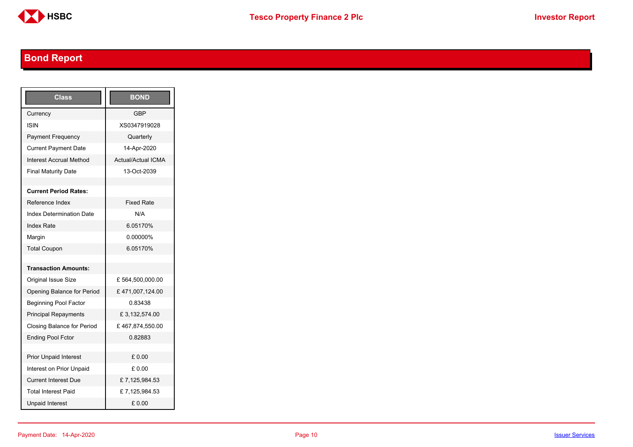

# <span id="page-9-0"></span>**Bond Report**

| Class                           | <b>BOND</b>               |
|---------------------------------|---------------------------|
| Currency                        | <b>GBP</b>                |
| ISIN                            | XS0347919028              |
| Payment Frequency               | Quarterly                 |
| <b>Current Payment Date</b>     | 14-Apr-2020               |
| <b>Interest Accrual Method</b>  | <b>Actual/Actual ICMA</b> |
| <b>Final Maturity Date</b>      | 13-Oct-2039               |
|                                 |                           |
| <b>Current Period Rates:</b>    |                           |
| Reference Index                 | <b>Fixed Rate</b>         |
| <b>Index Determination Date</b> | N/A                       |
| <b>Index Rate</b>               | 6.05170%                  |
| Margin                          | 0.00000%                  |
| <b>Total Coupon</b>             | 6.05170%                  |
|                                 |                           |
| <b>Transaction Amounts:</b>     |                           |
| Original Issue Size             | £564,500,000.00           |
| Opening Balance for Period      | £471,007,124.00           |
| <b>Beginning Pool Factor</b>    | 0.83438                   |
| <b>Principal Repayments</b>     | £3,132,574.00             |
| Closing Balance for Period      | £467,874,550.00           |
| <b>Ending Pool Fctor</b>        | 0.82883                   |
|                                 |                           |
| <b>Prior Unpaid Interest</b>    | £ 0.00                    |
| Interest on Prior Unpaid        | £ 0.00                    |
| <b>Current Interest Due</b>     | £7,125,984.53             |
| <b>Total Interest Paid</b>      | £7,125,984.53             |
| <b>Unpaid Interest</b>          | £0.00                     |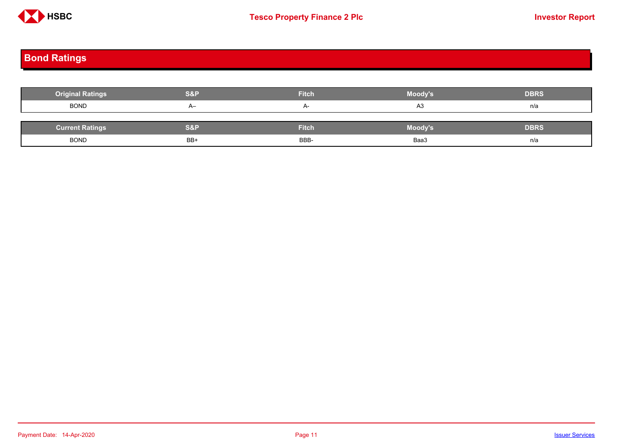

## <span id="page-10-0"></span>**Bond Ratings**

| <b>Original Ratings</b> | <b>S&amp;P</b> | <b>Fitch</b> | Moody's | <b>DBRS</b> |
|-------------------------|----------------|--------------|---------|-------------|
| <b>BOND</b>             | $A-$           | $A-$         | A3      | n/a         |
|                         |                |              |         |             |
| <b>Current Ratings</b>  | S&P            | <b>Fitch</b> | Moody's | <b>DBRS</b> |
| <b>BOND</b>             | BB+            | BBB-         | Baa3    | n/a         |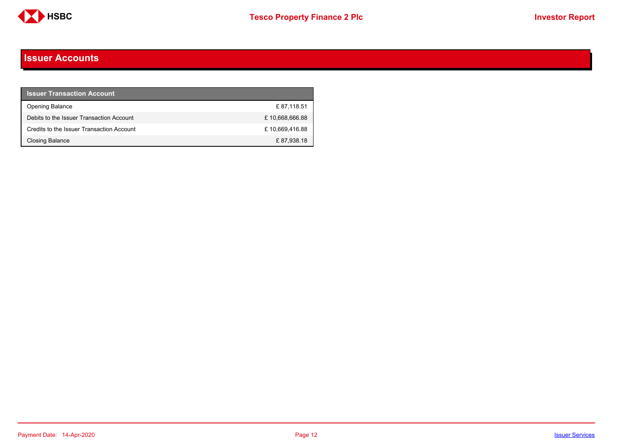

#### <span id="page-11-0"></span>**Issuer Accounts**

| <b>Issuer Transaction Account</b>         |                |
|-------------------------------------------|----------------|
| <b>Opening Balance</b>                    | £87.118.51     |
| Debits to the Issuer Transaction Account  | £10,668,666.88 |
| Credits to the Issuer Transaction Account | £10,669,416.88 |
| <b>Closing Balance</b>                    | £87,938.18     |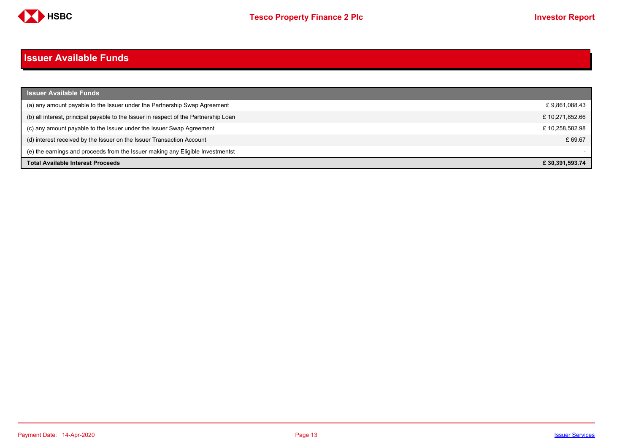

#### <span id="page-12-0"></span>**Issuer Available Funds**

| <b>Issuer Available Funds</b>                                                        |                |
|--------------------------------------------------------------------------------------|----------------|
| (a) any amount payable to the Issuer under the Partnership Swap Agreement            | £9,861,088.43  |
| (b) all interest, principal payable to the Issuer in respect of the Partnership Loan | £10,271,852.66 |
| (c) any amount payable to the Issuer under the Issuer Swap Agreement                 | £10,258,582.98 |
| (d) interest received by the Issuer on the Issuer Transaction Account                | £ 69.67        |
| (e) the earnings and proceeds from the Issuer making any Eligible Investmentst       |                |
| <b>Total Available Interest Proceeds</b>                                             | £30.391.593.74 |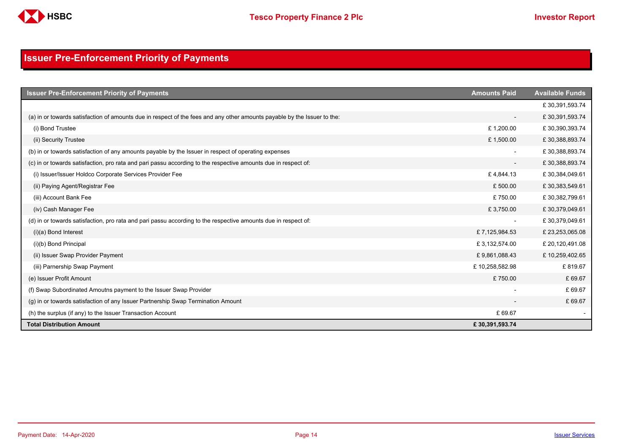

## <span id="page-13-0"></span>**Issuer Pre-Enforcement Priority of Payments**

| <b>Issuer Pre-Enforcement Priority of Payments</b>                                                                       | <b>Amounts Paid</b>      | <b>Available Funds</b> |
|--------------------------------------------------------------------------------------------------------------------------|--------------------------|------------------------|
|                                                                                                                          |                          | £30,391,593.74         |
| (a) in or towards satisfaction of amounts due in respect of the fees and any other amounts payable by the Issuer to the: | $\overline{\phantom{a}}$ | £30,391,593.74         |
| (i) Bond Trustee                                                                                                         | £1,200.00                | £30,390,393.74         |
| (ii) Security Trustee                                                                                                    | £1,500.00                | £30,388,893.74         |
| (b) in or towards satisfaction of any amounts payable by the Issuer in respect of operating expenses                     | $\overline{\phantom{a}}$ | £30,388,893.74         |
| (c) in or towards satisfaction, pro rata and pari passu according to the respective amounts due in respect of:           | $\overline{\phantom{a}}$ | £30,388,893.74         |
| (i) Issuer/Issuer Holdco Corporate Services Provider Fee                                                                 | £4,844.13                | £30,384,049.61         |
| (ii) Paying Agent/Registrar Fee                                                                                          | £500.00                  | £30,383,549.61         |
| (iii) Account Bank Fee                                                                                                   | £750.00                  | £30,382,799.61         |
| (iv) Cash Manager Fee                                                                                                    | £3,750.00                | £30,379,049.61         |
| (d) in or towards satisfaction, pro rata and pari passu according to the respective amounts due in respect of:           |                          | £30,379,049.61         |
| $(i)(a)$ Bond Interest                                                                                                   | £7,125,984.53            | £23,253,065.08         |
| (i)(b) Bond Principal                                                                                                    | £3,132,574.00            | £ 20,120,491.08        |
| (ii) Issuer Swap Provider Payment                                                                                        | £9,861,088.43            | £10,259,402.65         |
| (iii) Parnership Swap Payment                                                                                            | £10,258,582.98           | £819.67                |
| (e) Issuer Profit Amount                                                                                                 | £750.00                  | £69.67                 |
| (f) Swap Subordinated Amoutns payment to the Issuer Swap Provider                                                        |                          | £69.67                 |
| (g) in or towards satisfaction of any Issuer Partnership Swap Termination Amount                                         |                          | £69.67                 |
| (h) the surplus (if any) to the Issuer Transaction Account                                                               | £69.67                   |                        |
| <b>Total Distribution Amount</b>                                                                                         | £30,391,593.74           |                        |